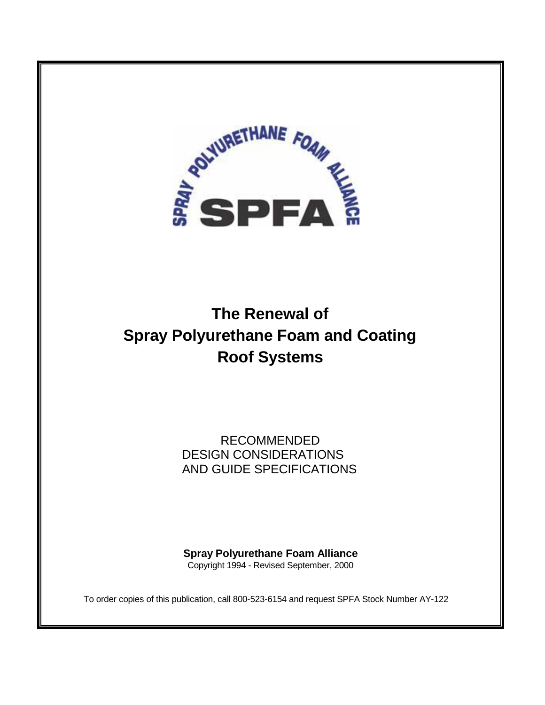

# **The Renewal of Spray Polyurethane Foam and Coating Roof Systems**

RECOMMENDED DESIGN CONSIDERATIONS AND GUIDE SPECIFICATIONS

**Spray Polyurethane Foam Alliance**  Copyright 1994 - Revised September, 2000

To order copies of this publication, call 800-523-6154 and request SPFA Stock Number AY-122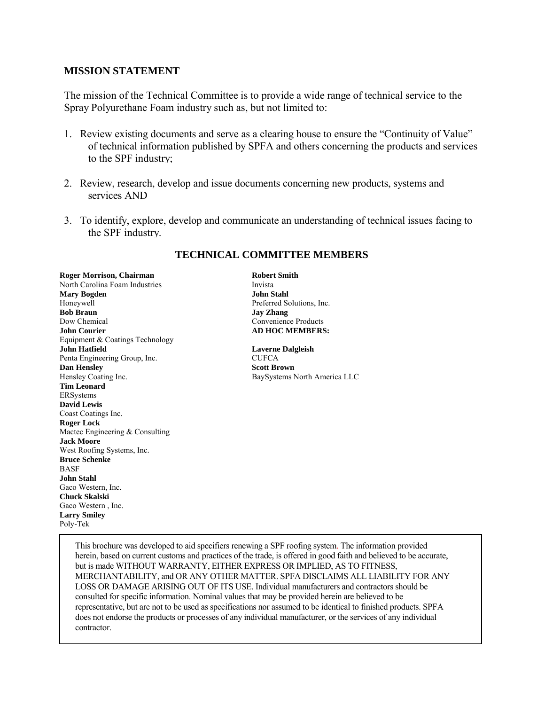#### **MISSION STATEMENT**

The mission of the Technical Committee is to provide a wide range of technical service to the Spray Polyurethane Foam industry such as, but not limited to:

- 1. Review existing documents and serve as a clearing house to ensure the "Continuity of Value" of technical information published by SPFA and others concerning the products and services to the SPF industry;
- 2. Review, research, develop and issue documents concerning new products, systems and services AND
- 3. To identify, explore, develop and communicate an understanding of technical issues facing to the SPF industry.

**Roger Morrison, Chairman Robert Smith** North Carolina Foam Industries Invista **Mary Bogden John Stahl**  Honeywell Preferred Solutions, Inc. **Bob Braun** Jay Zhang Dow Chemical Convenience Products **John Courier AD HOC MEMBERS:** Equipment & Coatings Technology **John Hatfield Laverne Dalgleish**  Penta Engineering Group, Inc. CUFCA **Dan Hensley Scott Brown** Hensley Coating Inc. BaySystems North America LLC **Tim Leonard**  ERSystems **David Lewis**  Coast Coatings Inc. **Roger Lock**  Mactec Engineering & Consulting **Jack Moore**  West Roofing Systems, Inc. **Bruce Schenke**  BASF **John Stahl**  Gaco Western, Inc. **Chuck Skalski**  Gaco Western , Inc. **Larry Smiley**  Poly-Tek 

I 

#### **TECHNICAL COMMITTEE MEMBERS**

This brochure was developed to aid specifiers renewing a SPF roofing system. The information provided herein, based on current customs and practices of the trade, is offered in good faith and believed to be accurate, but is made WITHOUT WARRANTY, EITHER EXPRESS OR IMPLIED, AS TO FITNESS, MERCHANTABILITY, and OR ANY OTHER MATTER. SPFA DISCLAIMS ALL LIABILITY FOR ANY LOSS OR DAMAGE ARISING OUT OF ITS USE. Individual manufacturers and contractors should be consulted for specific information. Nominal values that may be provided herein are believed to be representative, but are not to be used as specifications nor assumed to be identical to finished products. SPFA does not endorse the products or processes of any individual manufacturer, or the services of any individual contractor.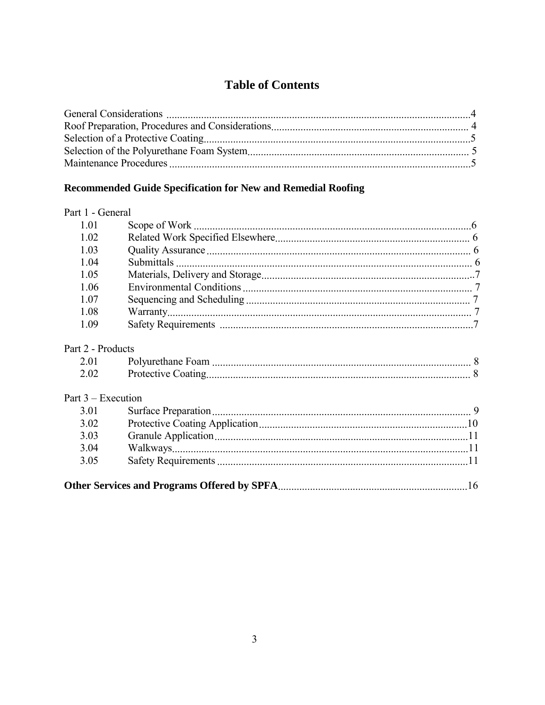# **Table of Contents**

## Recommended Guide Specification for New and Remedial Roofing

#### Part 1 - General

| 1.01 |  |
|------|--|
| 1.02 |  |
| 1.03 |  |
| 1.04 |  |
| 1.05 |  |
| 1.06 |  |
| 1.07 |  |
| 1.08 |  |
| 1.09 |  |

### Part 2 - Products

| 2.0  | Polyurethane Foam         |  |
|------|---------------------------|--|
| 2.02 | <b>Protective Coating</b> |  |

## Part 3 – Execution

| 3.01 |  |  |  |
|------|--|--|--|
| 3.02 |  |  |  |
| 3.03 |  |  |  |
| 3.04 |  |  |  |
| 3.05 |  |  |  |
|      |  |  |  |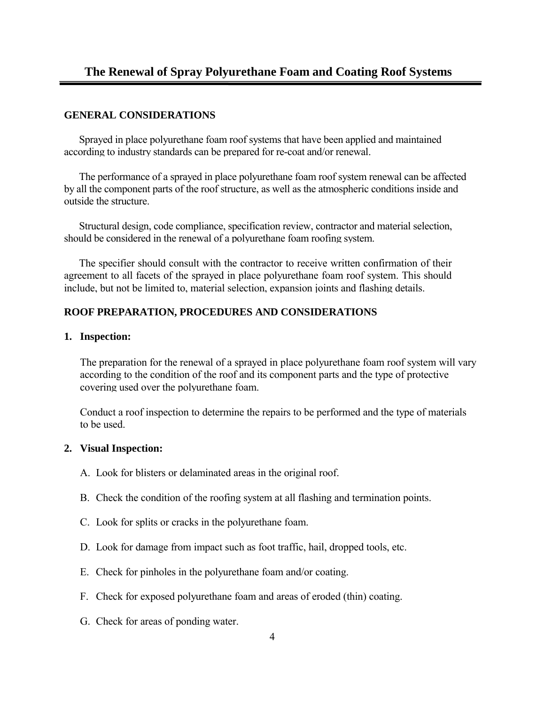#### **GENERAL CONSIDERATIONS**

Sprayed in place polyurethane foam roof systems that have been applied and maintained according to industry standards can be prepared for re-coat and/or renewal.

The performance of a sprayed in place polyurethane foam roof system renewal can be affected by all the component parts of the roof structure, as well as the atmospheric conditions inside and outside the structure.

Structural design, code compliance, specification review, contractor and material selection, should be considered in the renewal of a polyurethane foam roofing system.

The specifier should consult with the contractor to receive written confirmation of their agreement to all facets of the sprayed in place polyurethane foam roof system. This should include, but not be limited to, material selection, expansion joints and flashing details.

#### **ROOF PREPARATION, PROCEDURES AND CONSIDERATIONS**

#### **1. Inspection:**

The preparation for the renewal of a sprayed in place polyurethane foam roof system will vary according to the condition of the roof and its component parts and the type of protective covering used over the polyurethane foam.

Conduct a roof inspection to determine the repairs to be performed and the type of materials to be used.

#### **2. Visual Inspection:**

- A. Look for blisters or delaminated areas in the original roof.
- B. Check the condition of the roofing system at all flashing and termination points.
- C. Look for splits or cracks in the polyurethane foam.
- D. Look for damage from impact such as foot traffic, hail, dropped tools, etc.
- E. Check for pinholes in the polyurethane foam and/or coating.
- F. Check for exposed polyurethane foam and areas of eroded (thin) coating.
- G. Check for areas of ponding water.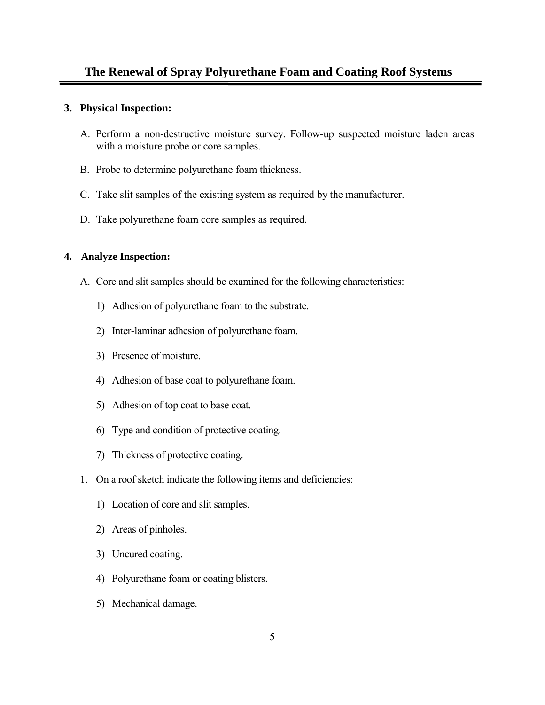#### **3. Physical Inspection:**

- A. Perform a non-destructive moisture survey. Follow-up suspected moisture laden areas with a moisture probe or core samples.
- B. Probe to determine polyurethane foam thickness.
- C. Take slit samples of the existing system as required by the manufacturer.
- D. Take polyurethane foam core samples as required.

#### **4. Analyze Inspection:**

- A. Core and slit samples should be examined for the following characteristics:
	- 1) Adhesion of polyurethane foam to the substrate.
	- 2) Inter-laminar adhesion of polyurethane foam.
	- 3) Presence of moisture.
	- 4) Adhesion of base coat to polyurethane foam.
	- 5) Adhesion of top coat to base coat.
	- 6) Type and condition of protective coating.
	- 7) Thickness of protective coating.
- 1. On a roof sketch indicate the following items and deficiencies:
	- 1) Location of core and slit samples.
	- 2) Areas of pinholes.
	- 3) Uncured coating.
	- 4) Polyurethane foam or coating blisters.
	- 5) Mechanical damage.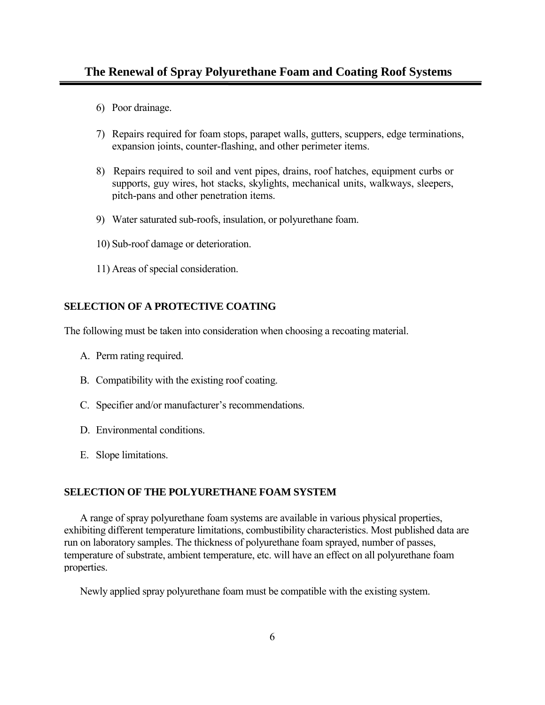- 6) Poor drainage.
- 7) Repairs required for foam stops, parapet walls, gutters, scuppers, edge terminations, expansion joints, counter-flashing, and other perimeter items.
- 8) Repairs required to soil and vent pipes, drains, roof hatches, equipment curbs or supports, guy wires, hot stacks, skylights, mechanical units, walkways, sleepers, pitch-pans and other penetration items.
- 9) Water saturated sub-roofs, insulation, or polyurethane foam.
- 10) Sub-roof damage or deterioration.
- 11) Areas of special consideration.

#### **SELECTION OF A PROTECTIVE COATING**

The following must be taken into consideration when choosing a recoating material.

- A. Perm rating required.
- B. Compatibility with the existing roof coating.
- C. Specifier and/or manufacturer's recommendations.
- D. Environmental conditions.
- E. Slope limitations.

#### **SELECTION OF THE POLYURETHANE FOAM SYSTEM**

A range of spray polyurethane foam systems are available in various physical properties, exhibiting different temperature limitations, combustibility characteristics. Most published data are run on laboratory samples. The thickness of polyurethane foam sprayed, number of passes, temperature of substrate, ambient temperature, etc. will have an effect on all polyurethane foam properties.

Newly applied spray polyurethane foam must be compatible with the existing system.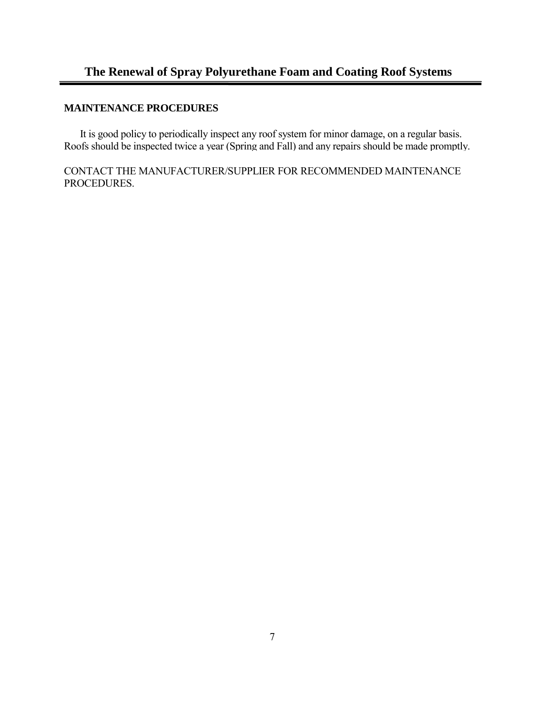#### **MAINTENANCE PROCEDURES**

It is good policy to periodically inspect any roof system for minor damage, on a regular basis. Roofs should be inspected twice a year (Spring and Fall) and any repairs should be made promptly.

CONTACT THE MANUFACTURER/SUPPLIER FOR RECOMMENDED MAINTENANCE PROCEDURES.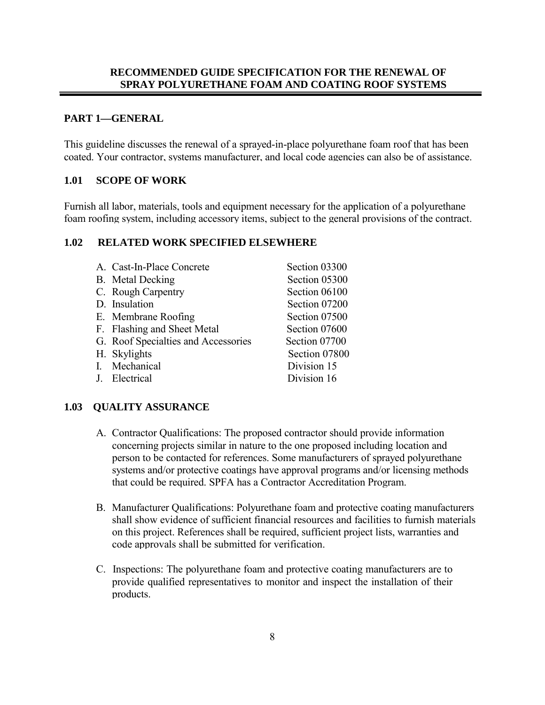#### **PART 1—GENERAL**

This guideline discusses the renewal of a sprayed-in-place polyurethane foam roof that has been coated. Your contractor, systems manufacturer, and local code agencies can also be of assistance.

#### **1.01 SCOPE OF WORK**

Furnish all labor, materials, tools and equipment necessary for the application of a polyurethane foam roofing system, including accessory items, subject to the general provisions of the contract.

#### **1.02 RELATED WORK SPECIFIED ELSEWHERE**

| A. Cast-In-Place Concrete           | Section 03300 |
|-------------------------------------|---------------|
| <b>B.</b> Metal Decking             | Section 05300 |
| C. Rough Carpentry                  | Section 06100 |
| D. Insulation                       | Section 07200 |
| E. Membrane Roofing                 | Section 07500 |
| F. Flashing and Sheet Metal         | Section 07600 |
| G. Roof Specialties and Accessories | Section 07700 |
| H. Skylights                        | Section 07800 |
| I. Mechanical                       | Division 15   |
| J. Electrical                       | Division 16   |

#### **1.03 QUALITY ASSURANCE**

- A. Contractor Qualifications: The proposed contractor should provide information concerning projects similar in nature to the one proposed including location and person to be contacted for references. Some manufacturers of sprayed polyurethane systems and/or protective coatings have approval programs and/or licensing methods that could be required. SPFA has a Contractor Accreditation Program.
- B. Manufacturer Qualifications: Polyurethane foam and protective coating manufacturers shall show evidence of sufficient financial resources and facilities to furnish materials on this project. References shall be required, sufficient project lists, warranties and code approvals shall be submitted for verification.
- C. Inspections: The polyurethane foam and protective coating manufacturers are to provide qualified representatives to monitor and inspect the installation of their products.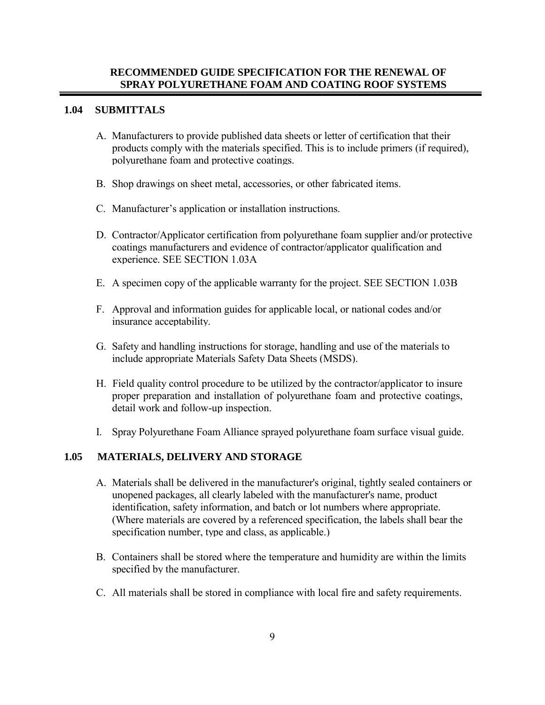#### **1.04 SUBMITTALS**

- A. Manufacturers to provide published data sheets or letter of certification that their products comply with the materials specified. This is to include primers (if required), polyurethane foam and protective coatings.
- B. Shop drawings on sheet metal, accessories, or other fabricated items.
- C. Manufacturer's application or installation instructions.
- D. Contractor/Applicator certification from polyurethane foam supplier and/or protective coatings manufacturers and evidence of contractor/applicator qualification and experience. SEE SECTION 1.03A
- E. A specimen copy of the applicable warranty for the project. SEE SECTION 1.03B
- F. Approval and information guides for applicable local, or national codes and/or insurance acceptability.
- G. Safety and handling instructions for storage, handling and use of the materials to include appropriate Materials Safety Data Sheets (MSDS).
- H. Field quality control procedure to be utilized by the contractor/applicator to insure proper preparation and installation of polyurethane foam and protective coatings, detail work and follow-up inspection.
- I. Spray Polyurethane Foam Alliance sprayed polyurethane foam surface visual guide.

#### **1.05 MATERIALS, DELIVERY AND STORAGE**

- A. Materials shall be delivered in the manufacturer's original, tightly sealed containers or unopened packages, all clearly labeled with the manufacturer's name, product identification, safety information, and batch or lot numbers where appropriate. (Where materials are covered by a referenced specification, the labels shall bear the specification number, type and class, as applicable.)
- B. Containers shall be stored where the temperature and humidity are within the limits specified by the manufacturer.
- C. All materials shall be stored in compliance with local fire and safety requirements.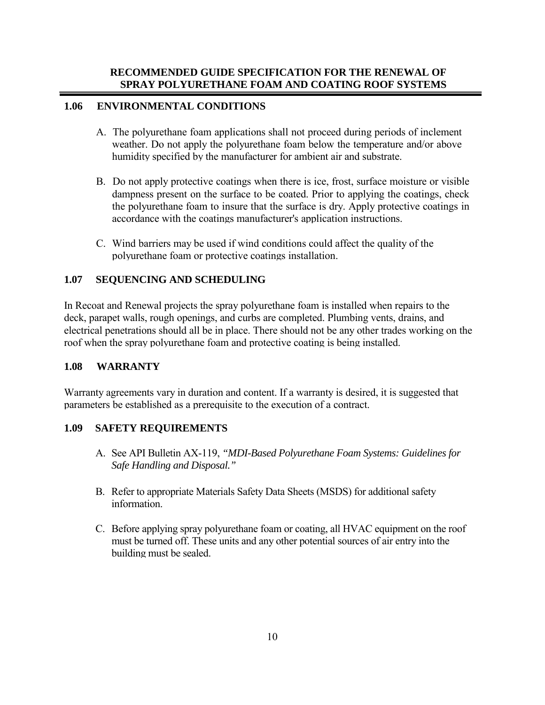#### **1.06 ENVIRONMENTAL CONDITIONS**

- A. The polyurethane foam applications shall not proceed during periods of inclement weather. Do not apply the polyurethane foam below the temperature and/or above humidity specified by the manufacturer for ambient air and substrate.
- B. Do not apply protective coatings when there is ice, frost, surface moisture or visible dampness present on the surface to be coated. Prior to applying the coatings, check the polyurethane foam to insure that the surface is dry. Apply protective coatings in accordance with the coatings manufacturer's application instructions.
- C. Wind barriers may be used if wind conditions could affect the quality of the polyurethane foam or protective coatings installation.

#### **1.07 SEQUENCING AND SCHEDULING**

In Recoat and Renewal projects the spray polyurethane foam is installed when repairs to the deck, parapet walls, rough openings, and curbs are completed. Plumbing vents, drains, and electrical penetrations should all be in place. There should not be any other trades working on the roof when the spray polyurethane foam and protective coating is being installed.

#### **1.08 WARRANTY**

Warranty agreements vary in duration and content. If a warranty is desired, it is suggested that parameters be established as a prerequisite to the execution of a contract.

#### **1.09 SAFETY REQUIREMENTS**

- A. See API Bulletin AX-119, *"MDI-Based Polyurethane Foam Systems: Guidelines for Safe Handling and Disposal."*
- B. Refer to appropriate Materials Safety Data Sheets (MSDS) for additional safety information.
- C. Before applying spray polyurethane foam or coating, all HVAC equipment on the roof must be turned off. These units and any other potential sources of air entry into the building must be sealed.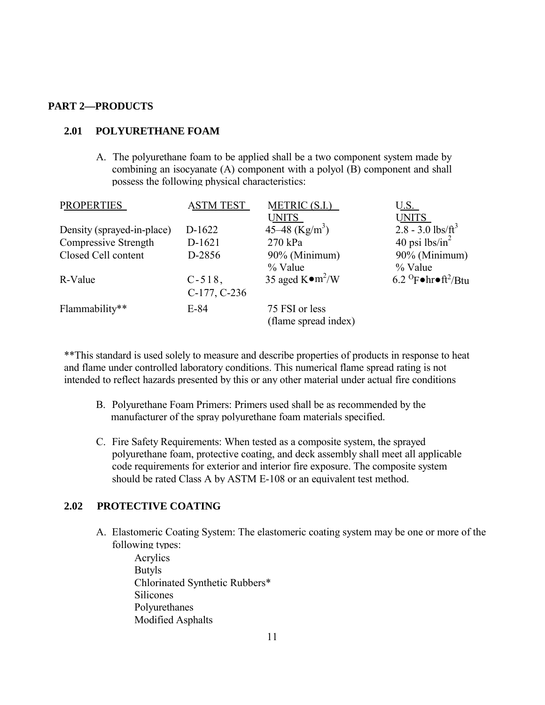#### **PART 2—PRODUCTS**

#### **2.01 POLYURETHANE FOAM**

A. The polyurethane foam to be applied shall be a two component system made by combining an isocyanate (A) component with a polyol (B) component and shall possess the following physical characteristics:

| <b>PROPERTIES</b>          | <b>ASTM TEST</b> | METRIC (S.I.)              | <u>U.S. </u>                                                 |
|----------------------------|------------------|----------------------------|--------------------------------------------------------------|
|                            |                  | <b>UNITS</b>               | <b>UNITS</b>                                                 |
| Density (sprayed-in-place) | D-1622           | 45–48 (Kg/m <sup>3</sup> ) | $2.8 - 3.0$ lbs/ft <sup>3</sup>                              |
| Compressive Strength       | D-1621           | 270 kPa                    | 40 psi $lbs/in^2$                                            |
| Closed Cell content        | D-2856           | 90% (Minimum)              | 90% (Minimum)                                                |
|                            |                  | % Value                    | % Value                                                      |
| R-Value                    | $C-518$ ,        | 35 aged $K \bullet m^2/W$  | 6.2 $^{\circ}$ F $\bullet$ hr $\bullet$ ft <sup>2</sup> /Btu |
|                            | C-177, C-236     |                            |                                                              |
| Flammability**             | $E-84$           | 75 FSI or less             |                                                              |
|                            |                  | (flame spread index)       |                                                              |

\*\*This standard is used solely to measure and describe properties of products in response to heat and flame under controlled laboratory conditions. This numerical flame spread rating is not intended to reflect hazards presented by this or any other material under actual fire conditions

- B. Polyurethane Foam Primers: Primers used shall be as recommended by the manufacturer of the spray polyurethane foam materials specified.
- C. Fire Safety Requirements: When tested as a composite system, the sprayed polyurethane foam, protective coating, and deck assembly shall meet all applicable code requirements for exterior and interior fire exposure. The composite system should be rated Class A by ASTM E-108 or an equivalent test method.

#### **2.02 PROTECTIVE COATING**

- A. Elastomeric Coating System: The elastomeric coating system may be one or more of the following types:
	- Acrylics Butyls Chlorinated Synthetic Rubbers\* Silicones Polyurethanes Modified Asphalts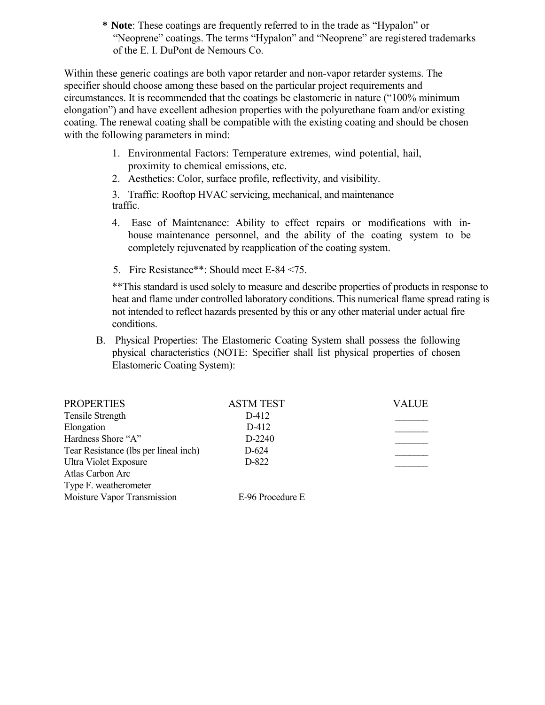**\* Note**: These coatings are frequently referred to in the trade as "Hypalon" or "Neoprene" coatings. The terms "Hypalon" and "Neoprene" are registered trademarks of the E. I. DuPont de Nemours Co.

Within these generic coatings are both vapor retarder and non-vapor retarder systems. The specifier should choose among these based on the particular project requirements and circumstances. It is recommended that the coatings be elastomeric in nature ("100% minimum elongation") and have excellent adhesion properties with the polyurethane foam and/or existing coating. The renewal coating shall be compatible with the existing coating and should be chosen with the following parameters in mind:

- 1. Environmental Factors: Temperature extremes, wind potential, hail, proximity to chemical emissions, etc.
- 2. Aesthetics: Color, surface profile, reflectivity, and visibility.

3. Traffic: Rooftop HVAC servicing, mechanical, and maintenance traffic.

- 4. Ease of Maintenance: Ability to effect repairs or modifications with inhouse maintenance personnel, and the ability of the coating system to be completely rejuvenated by reapplication of the coating system.
- 5. Fire Resistance\*\*: Should meet E-84 <75.

\*\*This standard is used solely to measure and describe properties of products in response to heat and flame under controlled laboratory conditions. This numerical flame spread rating is not intended to reflect hazards presented by this or any other material under actual fire conditions.

B. Physical Properties: The Elastomeric Coating System shall possess the following physical characteristics (NOTE: Specifier shall list physical properties of chosen Elastomeric Coating System):

| <b>PROPERTIES</b>                     | <b>ASTM TEST</b> | VALUE |
|---------------------------------------|------------------|-------|
| Tensile Strength                      | D-412            |       |
| Elongation                            | D-412            |       |
| Hardness Shore "A"                    | D-2240           |       |
| Tear Resistance (lbs per lineal inch) | $D-624$          |       |
| Ultra Violet Exposure                 | D-822            |       |
| Atlas Carbon Arc                      |                  |       |
| Type F. weatherometer                 |                  |       |
| Moisture Vapor Transmission           | E-96 Procedure E |       |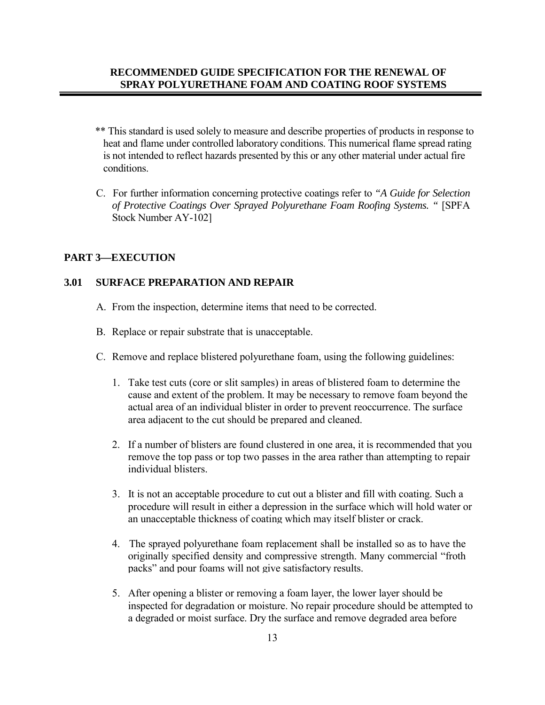- \*\* This standard is used solely to measure and describe properties of products in response to heat and flame under controlled laboratory conditions. This numerical flame spread rating is not intended to reflect hazards presented by this or any other material under actual fire conditions.
- C. For further information concerning protective coatings refer to *"A Guide for Selection of Protective Coatings Over Sprayed Polyurethane Foam Roofing Systems. "* [SPFA Stock Number AY-102]

#### **PART 3—EXECUTION**

#### **3.01 SURFACE PREPARATION AND REPAIR**

- A. From the inspection, determine items that need to be corrected.
- B. Replace or repair substrate that is unacceptable.
- C. Remove and replace blistered polyurethane foam, using the following guidelines:
	- 1. Take test cuts (core or slit samples) in areas of blistered foam to determine the cause and extent of the problem. It may be necessary to remove foam beyond the actual area of an individual blister in order to prevent reoccurrence. The surface area adjacent to the cut should be prepared and cleaned.
	- 2. If a number of blisters are found clustered in one area, it is recommended that you remove the top pass or top two passes in the area rather than attempting to repair individual blisters.
	- 3. It is not an acceptable procedure to cut out a blister and fill with coating. Such a procedure will result in either a depression in the surface which will hold water or an unacceptable thickness of coating which may itself blister or crack.
	- 4. The sprayed polyurethane foam replacement shall be installed so as to have the originally specified density and compressive strength. Many commercial "froth packs" and pour foams will not give satisfactory results.
	- 5. After opening a blister or removing a foam layer, the lower layer should be inspected for degradation or moisture. No repair procedure should be attempted to a degraded or moist surface. Dry the surface and remove degraded area before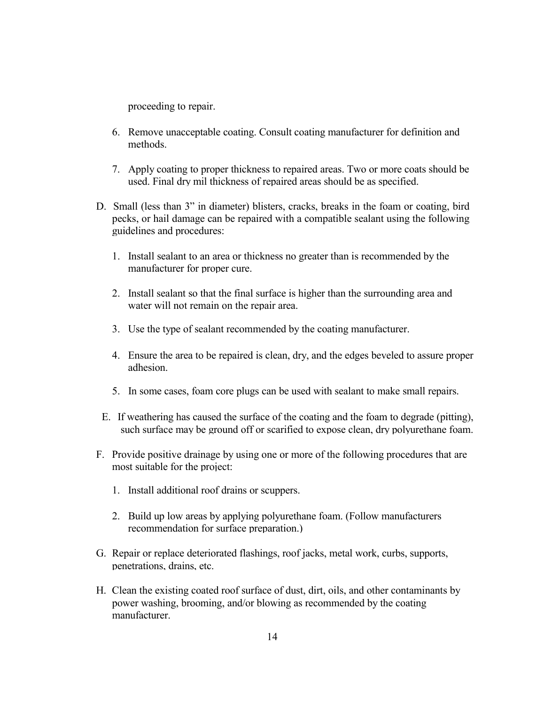proceeding to repair.

- 6. Remove unacceptable coating. Consult coating manufacturer for definition and methods.
- 7. Apply coating to proper thickness to repaired areas. Two or more coats should be used. Final dry mil thickness of repaired areas should be as specified.
- D. Small (less than 3" in diameter) blisters, cracks, breaks in the foam or coating, bird pecks, or hail damage can be repaired with a compatible sealant using the following guidelines and procedures:
	- 1. Install sealant to an area or thickness no greater than is recommended by the manufacturer for proper cure.
	- 2. Install sealant so that the final surface is higher than the surrounding area and water will not remain on the repair area.
	- 3. Use the type of sealant recommended by the coating manufacturer.
	- 4. Ensure the area to be repaired is clean, dry, and the edges beveled to assure proper adhesion.
	- 5. In some cases, foam core plugs can be used with sealant to make small repairs.
	- E. If weathering has caused the surface of the coating and the foam to degrade (pitting), such surface may be ground off or scarified to expose clean, dry polyurethane foam.
- F. Provide positive drainage by using one or more of the following procedures that are most suitable for the project:
	- 1. Install additional roof drains or scuppers.
	- 2. Build up low areas by applying polyurethane foam. (Follow manufacturers recommendation for surface preparation.)
- G. Repair or replace deteriorated flashings, roof jacks, metal work, curbs, supports, penetrations, drains, etc.
- H. Clean the existing coated roof surface of dust, dirt, oils, and other contaminants by power washing, brooming, and/or blowing as recommended by the coating manufacturer.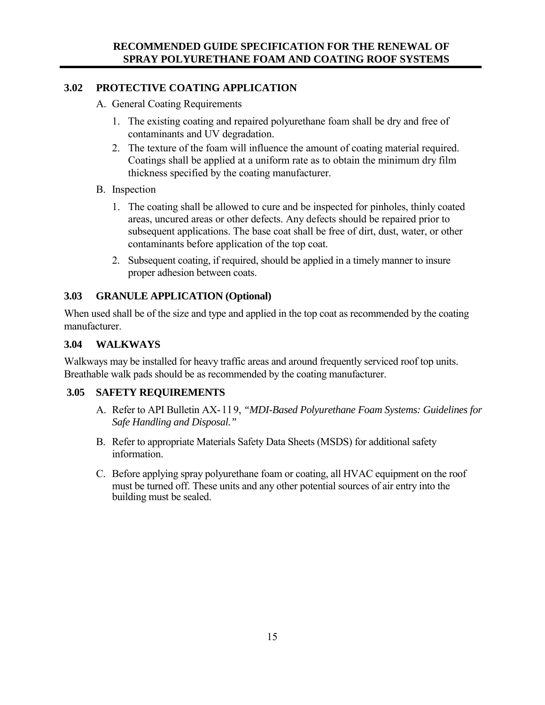## **3.02 PROTECTIVE COATING APPLICATION**

- A. General Coating Requirements
	- 1. The existing coating and repaired polyurethane foam shall be dry and free of contaminants and UV degradation.
	- 2. The texture of the foam will influence the amount of coating material required. Coatings shall be applied at a uniform rate as to obtain the minimum dry film thickness specified by the coating manufacturer.
- B. Inspection
	- 1. The coating shall be allowed to cure and be inspected for pinholes, thinly coated areas, uncured areas or other defects. Any defects should be repaired prior to subsequent applications. The base coat shall be free of dirt, dust, water, or other contaminants before application of the top coat.
	- 2. Subsequent coating, if required, should be applied in a timely manner to insure proper adhesion between coats.

## **3.03 GRANULE APPLICATION (Optional)**

When used shall be of the size and type and applied in the top coat as recommended by the coating manufacturer.

## **3.04 WALKWAYS**

Walkways may be installed for heavy traffic areas and around frequently serviced roof top units. Breathable walk pads should be as recommended by the coating manufacturer.

## **3.05 SAFETY REQUIREMENTS**

- A. Refer to API Bulletin AX- l l 9, *"MDI-Based Polyurethane Foam Systems: Guidelines for Safe Handling and Disposal."*
- B. Refer to appropriate Materials Safety Data Sheets (MSDS) for additional safety information.
- C. Before applying spray polyurethane foam or coating, all HVAC equipment on the roof must be turned off. These units and any other potential sources of air entry into the building must be sealed.